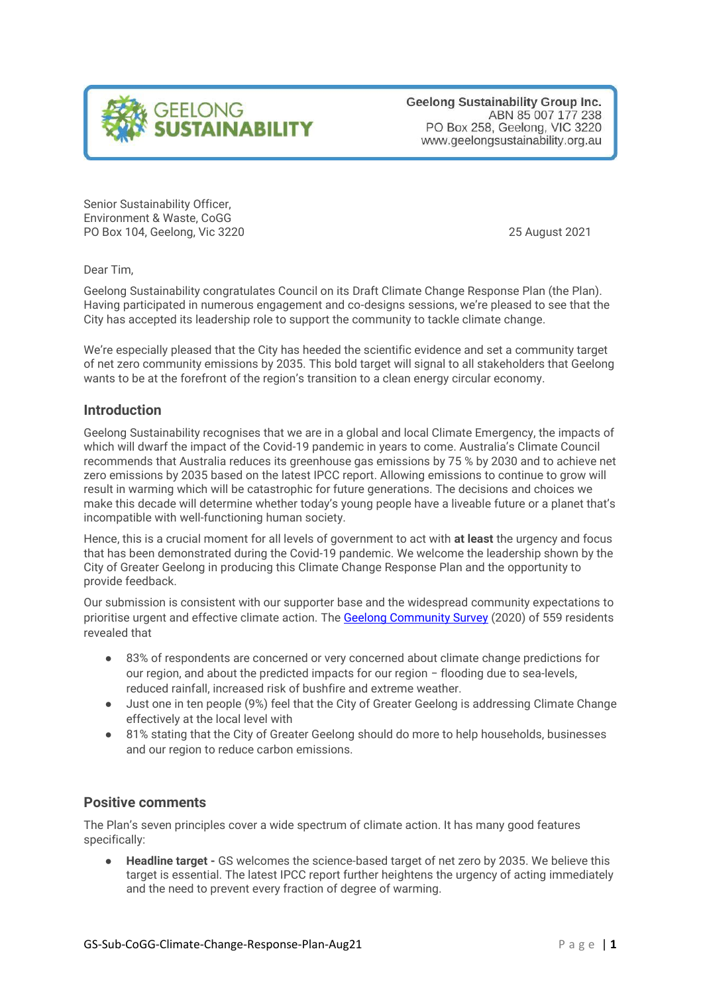

**Geelong Sustainability Group Inc.** ABN 85 007 177 238 PO Box 258, Geelong, VIC 3220 www.geelongsustainability.org.au

Senior Sustainability Officer, Environment & Waste, CoGG PO Box 104, Geelong, Vic 3220 25 August 2021

Dear Tim,

Geelong Sustainability congratulates Council on its Draft Climate Change Response Plan (the Plan). Having participated in numerous engagement and co-designs sessions, we're pleased to see that the City has accepted its leadership role to support the community to tackle climate change.

We're especially pleased that the City has heeded the scientific evidence and set a community target of net zero community emissions by 2035. This bold target will signal to all stakeholders that Geelong wants to be at the forefront of the region's transition to a clean energy circular economy.

### **Introduction**

Geelong Sustainability recognises that we are in a global and local Climate Emergency, the impacts of which will dwarf the impact of the Covid-19 pandemic in years to come. Australia's Climate Council recommends that Australia reduces its greenhouse gas emissions by 75 % by 2030 and to achieve net zero emissions by 2035 based on the latest IPCC report. Allowing emissions to continue to grow will result in warming which will be catastrophic for future generations. The decisions and choices we make this decade will determine whether today's young people have a liveable future or a planet that's incompatible with well-functioning human society.

Hence, this is a crucial moment for all levels of government to act with **at least** the urgency and focus that has been demonstrated during the Covid-19 pandemic. We welcome the leadership shown by the City of Greater Geelong in producing this Climate Change Response Plan and the opportunity to provide feedback.

Our submission is consistent with our supporter base and the widespread community expectations to prioritise urgent and effective climate action. The [Geelong Community Survey](https://geelongcommunitysurvey.org/wp-content/uploads/2020/09/GeelongCommunitySurvey2020-BriefReport.pdf) (2020) of 559 residents revealed that

- 83% of respondents are concerned or very concerned about climate change predictions for our region, and about the predicted impacts for our region − flooding due to sea-levels, reduced rainfall, increased risk of bushfire and extreme weather.
- Just one in ten people (9%) feel that the City of Greater Geelong is addressing Climate Change effectively at the local level with
- 81% stating that the City of Greater Geelong should do more to help households, businesses and our region to reduce carbon emissions.

### **Positive comments**

The Plan's seven principles cover a wide spectrum of climate action. It has many good features specifically:

**Headline target -** GS welcomes the science-based target of net zero by 2035. We believe this target is essential. The latest IPCC report further heightens the urgency of acting immediately and the need to prevent every fraction of degree of warming.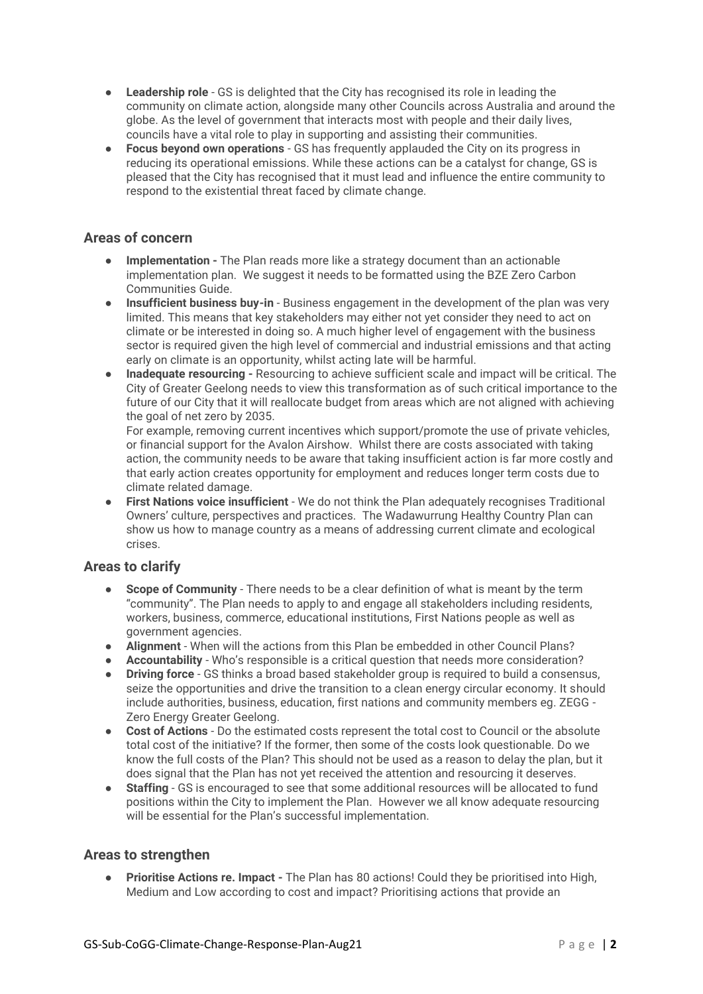- **Leadership role** GS is delighted that the City has recognised its role in leading the community on climate action, alongside many other Councils across Australia and around the globe. As the level of government that interacts most with people and their daily lives, councils have a vital role to play in supporting and assisting their communities.
- **Focus beyond own operations** GS has frequently applauded the City on its progress in reducing its operational emissions. While these actions can be a catalyst for change, GS is pleased that the City has recognised that it must lead and influence the entire community to respond to the existential threat faced by climate change.

### **Areas of concern**

- **Implementation -** The Plan reads more like a strategy document than an actionable implementation plan. We suggest it needs to be formatted using the BZE Zero Carbon Communities Guide.
- **Insufficient business buy-in** Business engagement in the development of the plan was very limited. This means that key stakeholders may either not yet consider they need to act on climate or be interested in doing so. A much higher level of engagement with the business sector is required given the high level of commercial and industrial emissions and that acting early on climate is an opportunity, whilst acting late will be harmful.
- **Inadequate resourcing -** Resourcing to achieve sufficient scale and impact will be critical. The City of Greater Geelong needs to view this transformation as of such critical importance to the future of our City that it will reallocate budget from areas which are not aligned with achieving the goal of net zero by 2035.

For example, removing current incentives which support/promote the use of private vehicles, or financial support for the Avalon Airshow. Whilst there are costs associated with taking action, the community needs to be aware that taking insufficient action is far more costly and that early action creates opportunity for employment and reduces longer term costs due to climate related damage.

● **First Nations voice insufficient** - We do not think the Plan adequately recognises Traditional Owners' culture, perspectives and practices. The Wadawurrung Healthy Country Plan can show us how to manage country as a means of addressing current climate and ecological crises.

## **Areas to clarify**

- **Scope of Community** There needs to be a clear definition of what is meant by the term "community". The Plan needs to apply to and engage all stakeholders including residents, workers, business, commerce, educational institutions, First Nations people as well as government agencies.
- **Alignment** When will the actions from this Plan be embedded in other Council Plans?
- **Accountability** Who's responsible is a critical question that needs more consideration?
- **Driving force**  GS thinks a broad based stakeholder group is required to build a consensus, seize the opportunities and drive the transition to a clean energy circular economy. It should include authorities, business, education, first nations and community members eg. ZEGG - Zero Energy Greater Geelong.
- **Cost of Actions** Do the estimated costs represent the total cost to Council or the absolute total cost of the initiative? If the former, then some of the costs look questionable. Do we know the full costs of the Plan? This should not be used as a reason to delay the plan, but it does signal that the Plan has not yet received the attention and resourcing it deserves.
- **Staffing** GS is encouraged to see that some additional resources will be allocated to fund positions within the City to implement the Plan. However we all know adequate resourcing will be essential for the Plan's successful implementation.

## **Areas to strengthen**

● **Prioritise Actions re. Impact -** The Plan has 80 actions! Could they be prioritised into High, Medium and Low according to cost and impact? Prioritising actions that provide an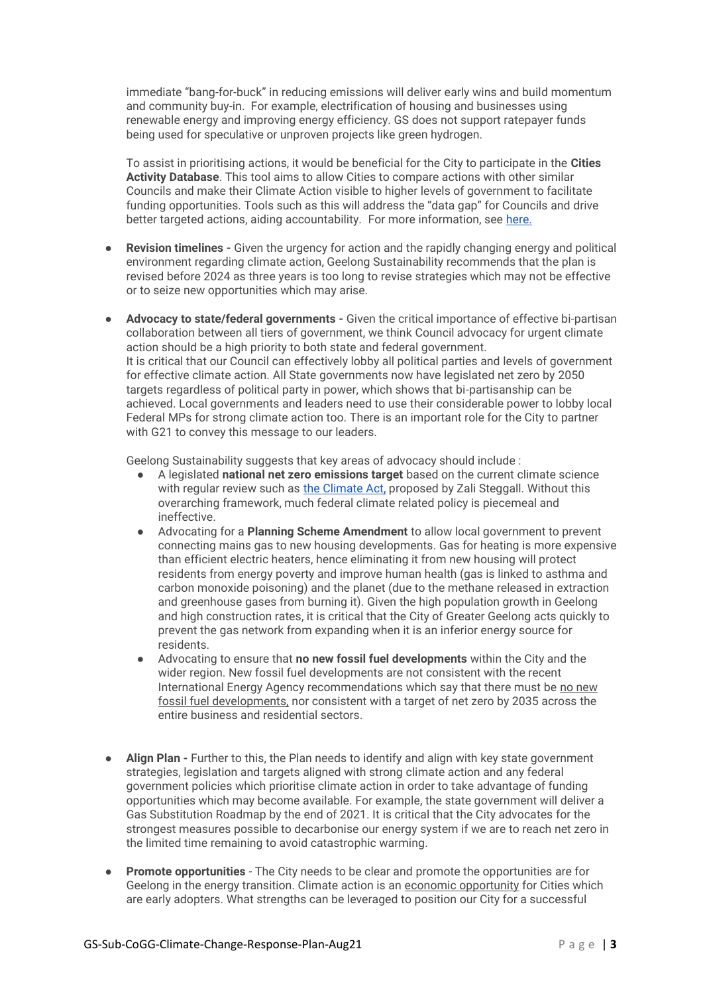immediate "bang-for-buck" in reducing emissions will deliver early wins and build momentum and community buy-in. For example, electrification of housing and businesses using renewable energy and improving energy efficiency. GS does not support ratepayer funds being used for speculative or unproven projects like green hydrogen.

To assist in prioritising actions, it would be beneficial for the City to participate in the **Cities Activity Database**. This tool aims to allow Cities to compare actions with other similar Councils and make their Climate Action visible to higher levels of government to facilitate funding opportunities. Tools such as this will address the "data gap" for Councils and drive better targeted actions, aiding accountability. For more information, see [here.](http://form.jotform.co/212268222966863)

- **Revision timelines -** Given the urgency for action and the rapidly changing energy and political environment regarding climate action, Geelong Sustainability recommends that the plan is revised before 2024 as three years is too long to revise strategies which may not be effective or to seize new opportunities which may arise.
- **Advocacy to state/federal governments -** Given the critical importance of effective bi-partisan collaboration between all tiers of government, we think Council advocacy for urgent climate action should be a high priority to both state and federal government. It is critical that our Council can effectively lobby all political parties and levels of government for effective climate action. All State governments now have legislated net zero by 2050 targets regardless of political party in power, which shows that bi-partisanship can be achieved. Local governments and leaders need to use their considerable power to lobby local Federal MPs for strong climate action too. There is an important role for the City to partner with G21 to convey this message to our leaders.

Geelong Sustainability suggests that key areas of advocacy should include :

- A legislated **national net zero emissions target** based on the current climate science with regular review such as [the Climate Act,](https://climateactnow.com.au/) proposed by Zali Steggall. Without this overarching framework, much federal climate related policy is piecemeal and ineffective.
- Advocating for a **Planning Scheme Amendment** to allow local government to prevent connecting mains gas to new housing developments. Gas for heating is more expensive than efficient electric heaters, hence eliminating it from new housing will protect residents from energy poverty and improve human health (gas is linked to asthma and carbon monoxide poisoning) and the planet (due to the methane released in extraction and greenhouse gases from burning it). Given the high population growth in Geelong and high construction rates, it is critical that the City of Greater Geelong acts quickly to prevent the gas network from expanding when it is an inferior energy source for residents.
- Advocating to ensure that **no new fossil fuel developments** within the City and the wider region. New fossil fuel developments are not consistent with the recent International Energy Agency recommendations which say that there must be no new fossil fuel developments, nor consistent with a target of net zero by 2035 across the entire business and residential sectors.
- **Align Plan -** Further to this, the Plan needs to identify and align with key state government strategies, legislation and targets aligned with strong climate action and any federal government policies which prioritise climate action in order to take advantage of funding opportunities which may become available. For example, the state government will deliver a Gas Substitution Roadmap by the end of 2021. It is critical that the City advocates for the strongest measures possible to decarbonise our energy system if we are to reach net zero in the limited time remaining to avoid catastrophic warming.
- **Promote opportunities** The City needs to be clear and promote the opportunities are for Geelong in the energy transition. Climate action is an economic opportunity for Cities which are early adopters. What strengths can be leveraged to position our City for a successful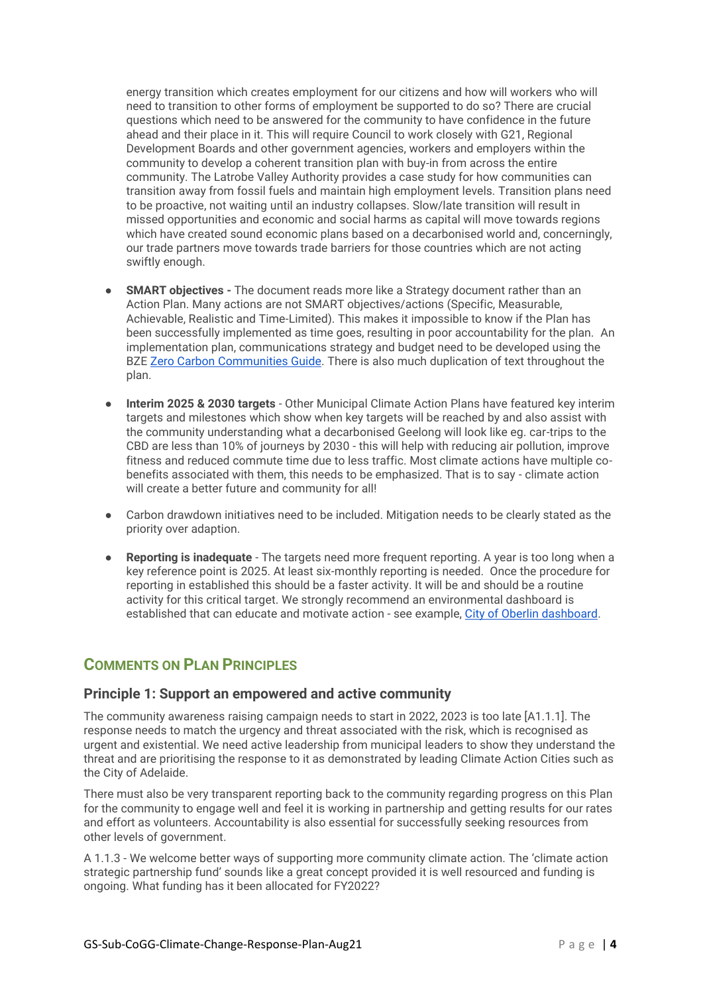energy transition which creates employment for our citizens and how will workers who will need to transition to other forms of employment be supported to do so? There are crucial questions which need to be answered for the community to have confidence in the future ahead and their place in it. This will require Council to work closely with G21, Regional Development Boards and other government agencies, workers and employers within the community to develop a coherent transition plan with buy-in from across the entire community. The Latrobe Valley Authority provides a case study for how communities can transition away from fossil fuels and maintain high employment levels. Transition plans need to be proactive, not waiting until an industry collapses. Slow/late transition will result in missed opportunities and economic and social harms as capital will move towards regions which have created sound economic plans based on a decarbonised world and, concerningly, our trade partners move towards trade barriers for those countries which are not acting swiftly enough.

- **SMART objectives -** The document reads more like a Strategy document rather than an Action Plan. Many actions are not SMART objectives/actions (Specific, Measurable, Achievable, Realistic and Time-Limited). This makes it impossible to know if the Plan has been successfully implemented as time goes, resulting in poor accountability for the plan. An implementation plan, communications strategy and budget need to be developed using the BZE [Zero Carbon Communities Guide.](https://bze.org.au/get-involved/zero-carbon-communities/zero-carbon-communities-guide/) There is also much duplication of text throughout the plan.
- **Interim 2025 & 2030 targets** Other Municipal Climate Action Plans have featured key interim targets and milestones which show when key targets will be reached by and also assist with the community understanding what a decarbonised Geelong will look like eg. car-trips to the CBD are less than 10% of journeys by 2030 - this will help with reducing air pollution, improve fitness and reduced commute time due to less traffic. Most climate actions have multiple cobenefits associated with them, this needs to be emphasized. That is to say - climate action will create a better future and community for all!
- Carbon drawdown initiatives need to be included. Mitigation needs to be clearly stated as the priority over adaption.
- **Reporting is inadequate** The targets need more frequent reporting. A year is too long when a key reference point is 2025. At least six-monthly reporting is needed. Once the procedure for reporting in established this should be a faster activity. It will be and should be a routine activity for this critical target. We strongly recommend an environmental dashboard is established that can educate and motivate action - see example, [City of Oberlin dashboard.](https://environmentaldashboard.org/cwd)

# **COMMENTS ON PLAN PRINCIPLES**

### **Principle 1: Support an empowered and active community**

The community awareness raising campaign needs to start in 2022, 2023 is too late [A1.1.1]. The response needs to match the urgency and threat associated with the risk, which is recognised as urgent and existential. We need active leadership from municipal leaders to show they understand the threat and are prioritising the response to it as demonstrated by leading Climate Action Cities such as the City of Adelaide.

There must also be very transparent reporting back to the community regarding progress on this Plan for the community to engage well and feel it is working in partnership and getting results for our rates and effort as volunteers. Accountability is also essential for successfully seeking resources from other levels of government.

A 1.1.3 - We welcome better ways of supporting more community climate action. The 'climate action strategic partnership fund' sounds like a great concept provided it is well resourced and funding is ongoing. What funding has it been allocated for FY2022?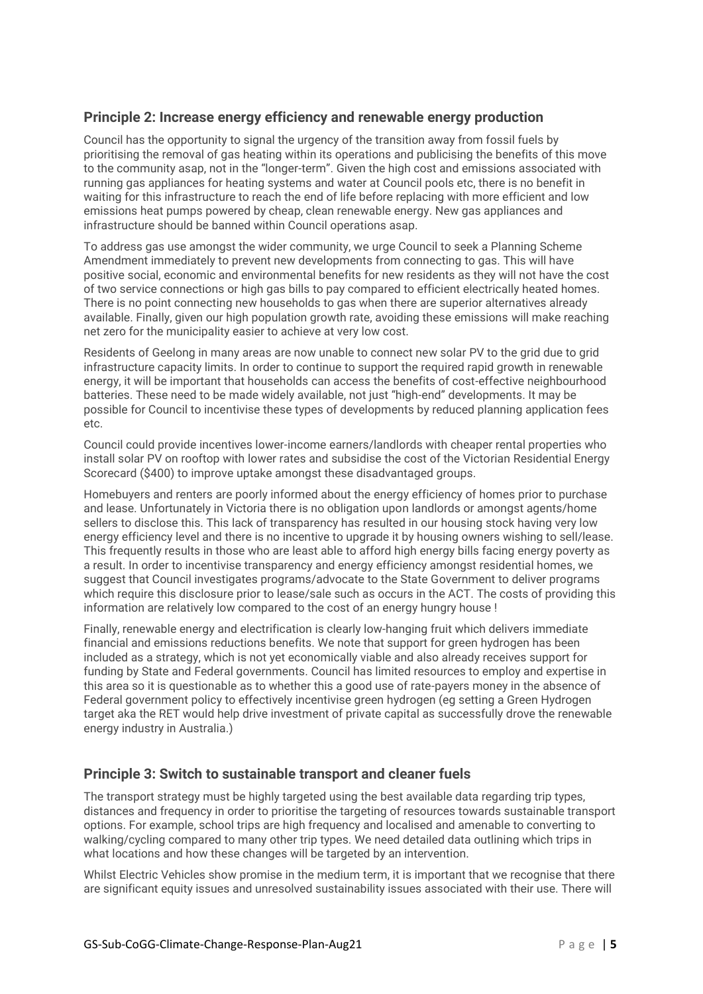## **Principle 2: Increase energy efficiency and renewable energy production**

Council has the opportunity to signal the urgency of the transition away from fossil fuels by prioritising the removal of gas heating within its operations and publicising the benefits of this move to the community asap, not in the "longer-term". Given the high cost and emissions associated with running gas appliances for heating systems and water at Council pools etc, there is no benefit in waiting for this infrastructure to reach the end of life before replacing with more efficient and low emissions heat pumps powered by cheap, clean renewable energy. New gas appliances and infrastructure should be banned within Council operations asap.

To address gas use amongst the wider community, we urge Council to seek a Planning Scheme Amendment immediately to prevent new developments from connecting to gas. This will have positive social, economic and environmental benefits for new residents as they will not have the cost of two service connections or high gas bills to pay compared to efficient electrically heated homes. There is no point connecting new households to gas when there are superior alternatives already available. Finally, given our high population growth rate, avoiding these emissions will make reaching net zero for the municipality easier to achieve at very low cost.

Residents of Geelong in many areas are now unable to connect new solar PV to the grid due to grid infrastructure capacity limits. In order to continue to support the required rapid growth in renewable energy, it will be important that households can access the benefits of cost-effective neighbourhood batteries. These need to be made widely available, not just "high-end" developments. It may be possible for Council to incentivise these types of developments by reduced planning application fees  $_{\text{atc}}$ 

Council could provide incentives lower-income earners/landlords with cheaper rental properties who install solar PV on rooftop with lower rates and subsidise the cost of the Victorian Residential Energy Scorecard (\$400) to improve uptake amongst these disadvantaged groups.

Homebuyers and renters are poorly informed about the energy efficiency of homes prior to purchase and lease. Unfortunately in Victoria there is no obligation upon landlords or amongst agents/home sellers to disclose this. This lack of transparency has resulted in our housing stock having very low energy efficiency level and there is no incentive to upgrade it by housing owners wishing to sell/lease. This frequently results in those who are least able to afford high energy bills facing energy poverty as a result. In order to incentivise transparency and energy efficiency amongst residential homes, we suggest that Council investigates programs/advocate to the State Government to deliver programs which require this disclosure prior to lease/sale such as occurs in the ACT. The costs of providing this information are relatively low compared to the cost of an energy hungry house !

Finally, renewable energy and electrification is clearly low-hanging fruit which delivers immediate financial and emissions reductions benefits. We note that support for green hydrogen has been included as a strategy, which is not yet economically viable and also already receives support for funding by State and Federal governments. Council has limited resources to employ and expertise in this area so it is questionable as to whether this a good use of rate-payers money in the absence of Federal government policy to effectively incentivise green hydrogen (eg setting a Green Hydrogen target aka the RET would help drive investment of private capital as successfully drove the renewable energy industry in Australia.)

## **Principle 3: Switch to sustainable transport and cleaner fuels**

The transport strategy must be highly targeted using the best available data regarding trip types, distances and frequency in order to prioritise the targeting of resources towards sustainable transport options. For example, school trips are high frequency and localised and amenable to converting to walking/cycling compared to many other trip types. We need detailed data outlining which trips in what locations and how these changes will be targeted by an intervention.

Whilst Electric Vehicles show promise in the medium term, it is important that we recognise that there are significant equity issues and unresolved sustainability issues associated with their use. There will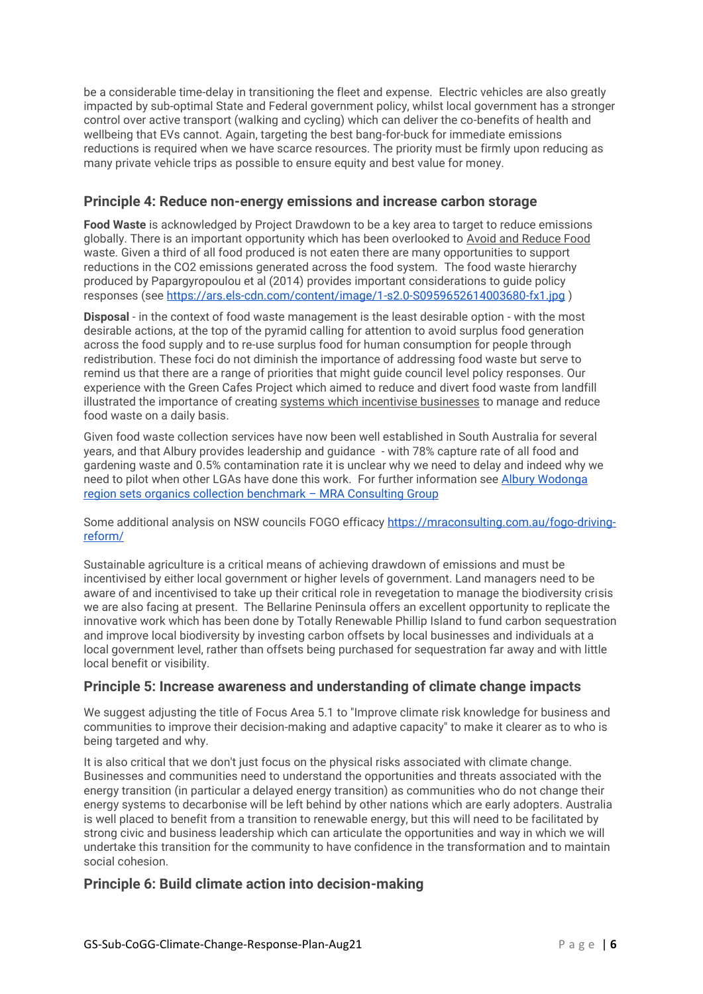be a considerable time-delay in transitioning the fleet and expense. Electric vehicles are also greatly impacted by sub-optimal State and Federal government policy, whilst local government has a stronger control over active transport (walking and cycling) which can deliver the co-benefits of health and wellbeing that EVs cannot. Again, targeting the best bang-for-buck for immediate emissions reductions is required when we have scarce resources. The priority must be firmly upon reducing as many private vehicle trips as possible to ensure equity and best value for money.

### **Principle 4: Reduce non-energy emissions and increase carbon storage**

**Food Waste** is acknowledged by Project Drawdown to be a key area to target to reduce emissions globally. There is an important opportunity which has been overlooked to Avoid and Reduce Food waste. Given a third of all food produced is not eaten there are many opportunities to support reductions in the CO2 emissions generated across the food system. The food waste hierarchy produced by Papargyropoulou et al (2014) provides important considerations to guide policy responses (see<https://ars.els-cdn.com/content/image/1-s2.0-S0959652614003680-fx1.jpg> )

**Disposal** - in the context of food waste management is the least desirable option - with the most desirable actions, at the top of the pyramid calling for attention to avoid surplus food generation across the food supply and to re-use surplus food for human consumption for people through redistribution. These foci do not diminish the importance of addressing food waste but serve to remind us that there are a range of priorities that might guide council level policy responses. Our experience with the Green Cafes Project which aimed to reduce and divert food waste from landfill illustrated the importance of creating systems which incentivise businesses to manage and reduce food waste on a daily basis.

Given food waste collection services have now been well established in South Australia for several years, and that Albury provides leadership and guidance - with 78% capture rate of all food and gardening waste and 0.5% contamination rate it is unclear why we need to delay and indeed why we need to pilot when other LGAs have done this work. For further information see [Albury Wodonga](https://mraconsulting.com.au/albury-wodonga-region-sets-organics-collection-benchmark/)  [region sets organics collection benchmark](https://mraconsulting.com.au/albury-wodonga-region-sets-organics-collection-benchmark/) – MRA Consulting Group

Some additional analysis on NSW councils FOGO efficacy [https://mraconsulting.com.au/fogo-driving](https://mraconsulting.com.au/fogo-driving-reform/)[reform/](https://mraconsulting.com.au/fogo-driving-reform/)

Sustainable agriculture is a critical means of achieving drawdown of emissions and must be incentivised by either local government or higher levels of government. Land managers need to be aware of and incentivised to take up their critical role in revegetation to manage the biodiversity crisis we are also facing at present. The Bellarine Peninsula offers an excellent opportunity to replicate the innovative work which has been done by Totally Renewable Phillip Island to fund carbon sequestration and improve local biodiversity by investing carbon offsets by local businesses and individuals at a local government level, rather than offsets being purchased for sequestration far away and with little local benefit or visibility.

### **Principle 5: Increase awareness and understanding of climate change impacts**

We suggest adjusting the title of Focus Area 5.1 to "Improve climate risk knowledge for business and communities to improve their decision-making and adaptive capacity" to make it clearer as to who is being targeted and why.

It is also critical that we don't just focus on the physical risks associated with climate change. Businesses and communities need to understand the opportunities and threats associated with the energy transition (in particular a delayed energy transition) as communities who do not change their energy systems to decarbonise will be left behind by other nations which are early adopters. Australia is well placed to benefit from a transition to renewable energy, but this will need to be facilitated by strong civic and business leadership which can articulate the opportunities and way in which we will undertake this transition for the community to have confidence in the transformation and to maintain social cohesion.

## **Principle 6: Build climate action into decision-making**